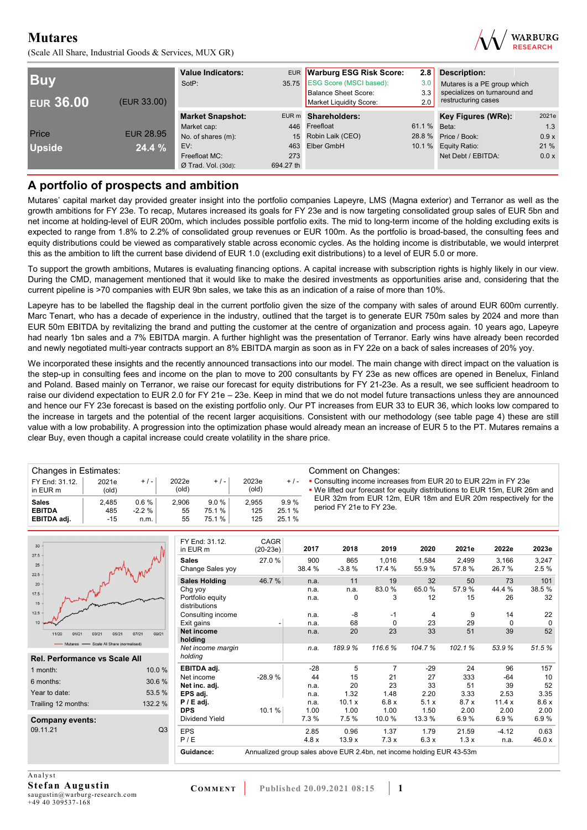(Scale All Share, Industrial Goods & Services, MUX GR)



| <b>Buy</b><br><b>EUR 36.00</b> | (EUR 33.00)      | <b>Value Indicators:</b><br>SotP: | <b>EUR</b><br>35.75 | <b>Warburg ESG Risk Score:</b><br><b>ESG Score (MSCI based):</b><br><b>Balance Sheet Score:</b><br>Market Liquidity Score: | 2.8<br>3.0<br>3.3<br>2.0 | Description:<br>Mutares is a PE group which<br>specializes on turnaround and<br>restructuring cases |       |
|--------------------------------|------------------|-----------------------------------|---------------------|----------------------------------------------------------------------------------------------------------------------------|--------------------------|-----------------------------------------------------------------------------------------------------|-------|
|                                |                  | <b>Market Snapshot:</b>           |                     | EUR m Shareholders:                                                                                                        |                          | Key Figures (WRe):                                                                                  | 2021e |
|                                |                  | Market cap:                       | 446                 | Freefloat                                                                                                                  | 61.1 %                   | Beta:                                                                                               | 1.3   |
| Price                          | <b>EUR 28.95</b> | No. of shares (m):                | 15 <sup>15</sup>    | Robin Laik (CEO)                                                                                                           |                          | 28.8 % Price / Book:                                                                                | 0.9x  |
| <b>Upside</b>                  | 24.4%            | EV:                               | 463                 | Elber GmbH                                                                                                                 |                          | 10.1 % Equity Ratio:                                                                                | 21 %  |
|                                |                  | Freefloat MC:                     | 273                 |                                                                                                                            |                          | Net Debt / EBITDA:                                                                                  | 0.0 x |
|                                |                  | $Ø$ Trad. Vol. (30d):             | 694.27 th           |                                                                                                                            |                          |                                                                                                     |       |

## **A portfolio of prospects and ambition**

Mutares' capital market day provided greater insight into the portfolio companies Lapeyre, LMS (Magna exterior) and Terranor as well as the growth ambitions for FY 23e. To recap, Mutares increased its goals for FY 23e and is now targeting consolidated group sales of EUR 5bn and net income at holding-level of EUR 200m, which includes possible portfolio exits. The mid to long-term income of the holding excluding exits is expected to range from 1.8% to 2.2% of consolidated group revenues or EUR 100m. As the portfolio is broad-based, the consulting fees and equity distributions could be viewed as comparatively stable across economic cycles. As the holding income is distributable, we would interpret this as the ambition to lift the current base dividend of EUR 1.0 (excluding exit distributions) to a level of EUR 5.0 or more.

To support the growth ambitions, Mutares is evaluating financing options. A capital increase with subscription rights is highly likely in our view. During the CMD, management mentioned that it would like to make the desired investments as opportunities arise and, considering that the current pipeline is >70 companies with EUR 9bn sales, we take this as an indication of a raise of more than 10%.

Lapeyre has to be labelled the flagship deal in the current portfolio given the size of the company with sales of around EUR 600m currently. Marc Tenart, who has a decade of experience in the industry, outlined that the target is to generate EUR 750m sales by 2024 and more than EUR 50m EBITDA by revitalizing the brand and putting the customer at the centre of organization and process again. 10 years ago, Lapeyre had nearly 1bn sales and a 7% EBITDA margin. A further highlight was the presentation of Terranor. Early wins have already been recorded and newly negotiated multi-year contracts support an 8% EBITDA margin as soon as in FY 22e on a back of sales increases of 20% yoy.

We incorporated these insights and the recently announced transactions into our model. The main change with direct impact on the valuation is the step-up in consulting fees and income on the plan to move to 200 consultants by FY 23e as new offices are opened in Benelux, Finland and Poland. Based mainly on Terranor, we raise our forecast for equity distributions for FY 21-23e. As a result, we see sufficient headroom to raise our dividend expectation to EUR 2.0 for FY 21e – 23e. Keep in mind that we do not model future transactions unless they are announced and hence our FY 23e forecast is based on the existing portfolio only. Our PT increases from EUR 33 to EUR 36, which looks low compared to the increase in targets and the potential of the recent larger acquisitions. Consistent with our methodology (see table page 4) these are still value with a low probability. A progression into the optimization phase would already mean an increase of EUR 5 to the PT. Mutares remains a clear Buy, even though a capital increase could create volatility in the share price.

| Changes in Estimates:                        |                       |                           |                   |                          |                     |                         | Comment on Changes:                                                                                                                         |
|----------------------------------------------|-----------------------|---------------------------|-------------------|--------------------------|---------------------|-------------------------|---------------------------------------------------------------------------------------------------------------------------------------------|
| FY End: 31.12.<br>in EUR m                   | 2021e<br>(old)        | $+/-$                     | 2022e<br>(old)    | $+/-$                    | 2023e<br>(old)      | $+$ / -                 | • Consulting income increases from EUR 20 to EUR 22m in FY 23e<br>. We lifted our forecast for equity distributions to EUR 15m, EUR 26m and |
| <b>Sales</b><br><b>EBITDA</b><br>EBITDA adj. | 2.485<br>485<br>$-15$ | 0.6%<br>$-2.2 \%$<br>n.m. | 2.906<br>55<br>55 | 9.0%<br>75.1 %<br>75.1 % | 2.955<br>125<br>125 | 9.9%<br>25.1%<br>25.1 % | EUR 32m from EUR 12m, EUR 18m and EUR 20m respectively for the<br>period FY 21e to FY 23e.                                                  |

| 30                                                                                  | FY End: 31.12.<br>in EUR m        | <b>CAGR</b><br>$(20-23e)$                                             | 2017          | 2018           | 2019            | 2020           | 2021e          | 2022e          | 2023e         |
|-------------------------------------------------------------------------------------|-----------------------------------|-----------------------------------------------------------------------|---------------|----------------|-----------------|----------------|----------------|----------------|---------------|
| 27.5<br>25<br>22.5                                                                  | <b>Sales</b><br>Change Sales yoy  | 27.0%                                                                 | 900<br>38.4 % | 865<br>$-3.8%$ | 1,016<br>17.4 % | 1,584<br>55.9% | 2,499<br>57.8% | 3,166<br>26.7% | 3,247<br>2.5% |
| 20                                                                                  | <b>Sales Holding</b>              | 46.7%                                                                 | n.a.          | 11             | 19              | 32             | 50             | 73             | 101           |
| $17.5 -$                                                                            | Chg yoy                           |                                                                       | n.a.          | n.a.           | 83.0%           | 65.0%          | 57.9%          | 44.4 %         | 38.5%         |
| $15 -$                                                                              | Portfolio equity<br>distributions |                                                                       | n.a.          | 0              | 3               | 12             | 15             | 26             | 32            |
| 12.5                                                                                | Consulting income                 |                                                                       | n.a.          | -8             | $-1$            | 4              | 9              | 14             | 22            |
| 10 <sup>10</sup>                                                                    | Exit gains                        |                                                                       | n.a.          | 68             | $\mathbf 0$     | 23             | 29             | $\mathbf 0$    | $\mathbf 0$   |
| 03/21<br>05/21<br>07/21<br>11/20<br>01/21<br>Mutares - Scale All Share (normalised) | Net income<br>09/21<br>holding    |                                                                       | n.a.          | 20             | 23              | 33             | 51             | 39             | 52            |
|                                                                                     | Net income margin                 |                                                                       | n.a.          | 189.9%         | 116.6%          | 104.7%         | 102.1%         | 53.9%          | 51.5%         |
| <b>Rel. Performance vs Scale All</b>                                                | holding                           |                                                                       |               |                |                 |                |                |                |               |
| 1 month:                                                                            | EBITDA adj.<br>10.0 %             |                                                                       | $-28$         | 5              | $\overline{7}$  | $-29$          | 24             | 96             | 157           |
| 6 months:                                                                           | Net income<br>30.6%               | $-28.9%$                                                              | 44            | 15             | 21              | 27             | 333            | $-64$          | 10            |
|                                                                                     | Net inc. adi.                     |                                                                       | n.a.          | 20             | 23              | 33             | 51             | 39             | 52            |
| Year to date:                                                                       | 53.5 %<br>EPS adj.                |                                                                       | n.a.          | 1.32           | 1.48            | 2.20           | 3.33           | 2.53           | 3.35          |
| Trailing 12 months:                                                                 | $P / E$ adj.<br>132.2 %           |                                                                       | n.a.          | 10.1 x         | 6.8x            | 5.1x           | 8.7x           | 11.4x          | 8.6x          |
|                                                                                     | <b>DPS</b>                        | 10.1%                                                                 | 1.00          | 1.00           | 1.00            | 1.50           | 2.00           | 2.00           | 2.00          |
| <b>Company events:</b>                                                              | Dividend Yield                    |                                                                       | 7.3%          | 7.5%           | 10.0%           | 13.3 %         | 6.9%           | 6.9%           | 6.9%          |
| 09.11.21                                                                            | Q3<br><b>EPS</b>                  |                                                                       | 2.85          | 0.96           | 1.37            | 1.79           | 21.59          | $-4.12$        | 0.63          |
|                                                                                     | P/E                               |                                                                       | 4.8x          | 13.9x          | 7.3x            | 6.3x           | 1.3x           | n.a.           | 46.0 x        |
|                                                                                     | Guidance:                         | Annualized group sales above EUR 2.4bn, net income holding EUR 43-53m |               |                |                 |                |                |                |               |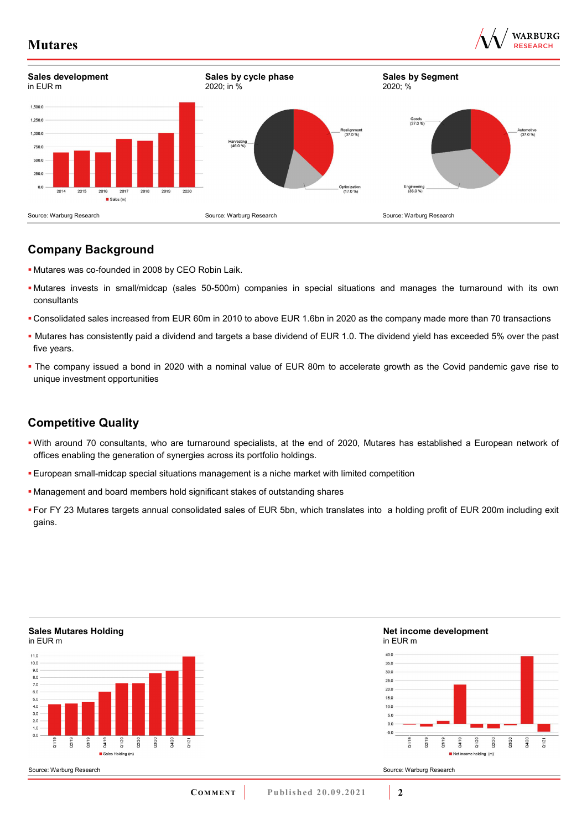



## **Company Background**

- Mutares was co-founded in 2008 by CEO Robin Laik.
- Mutares invests in small/midcap (sales 50-500m) companies in special situations and manages the turnaround with its own consultants
- Consolidated sales increased from EUR 60m in 2010 to above EUR 1.6bn in 2020 as the company made more than 70 transactions
- Mutares has consistently paid a dividend and targets a base dividend of EUR 1.0. The dividend yield has exceeded 5% over the past five years.
- The company issued a bond in 2020 with a nominal value of EUR 80m to accelerate growth as the Covid pandemic gave rise to unique investment opportunities

## **Competitive Quality**

- With around 70 consultants, who are turnaround specialists, at the end of 2020, Mutares has established a European network of offices enabling the generation of synergies across its portfolio holdings.
- European small-midcap special situations management is a niche market with limited competition
- Management and board members hold significant stakes of outstanding shares
- For FY 23 Mutares targets annual consolidated sales of EUR 5bn, which translates into a holding profit of EUR 200m including exit gains.

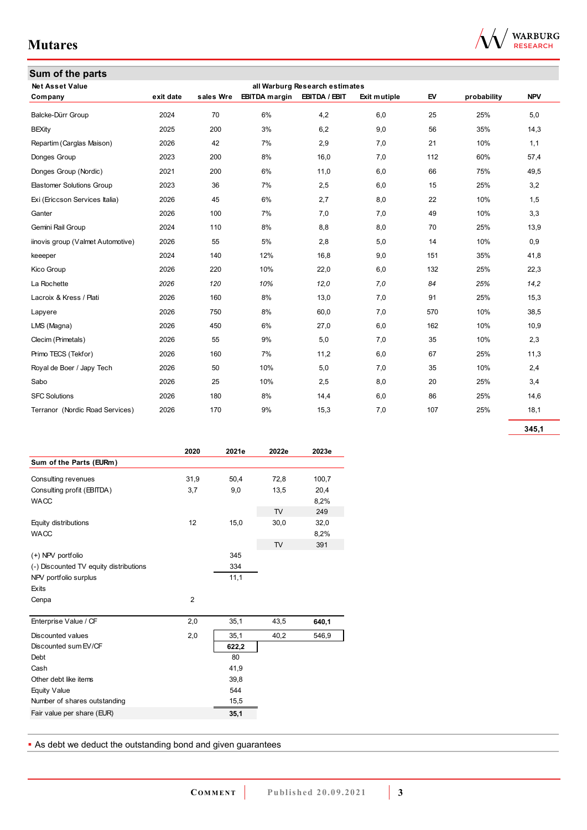| Sum of the parts                  |           |           |                      |                                |              |     |             |            |
|-----------------------------------|-----------|-----------|----------------------|--------------------------------|--------------|-----|-------------|------------|
| <b>Net Asset Value</b>            |           |           |                      | all Warburg Research estimates |              |     |             |            |
| Company                           | exit date | sales Wre | <b>EBITDA</b> margin | EBITDA / EBIT                  | Exit mutiple | EV  | probability | <b>NPV</b> |
| Balcke-Dürr Group                 | 2024      | 70        | 6%                   | 4,2                            | 6,0          | 25  | 25%         | 5,0        |
| <b>BEXity</b>                     | 2025      | 200       | 3%                   | 6,2                            | 9,0          | 56  | 35%         | 14,3       |
| Repartim (Carglas Maison)         | 2026      | 42        | 7%                   | 2,9                            | 7,0          | 21  | 10%         | 1,1        |
| Donges Group                      | 2023      | 200       | 8%                   | 16,0                           | 7,0          | 112 | 60%         | 57,4       |
| Donges Group (Nordic)             | 2021      | 200       | 6%                   | 11,0                           | 6,0          | 66  | 75%         | 49,5       |
| <b>Elastomer Solutions Group</b>  | 2023      | 36        | 7%                   | 2,5                            | 6,0          | 15  | 25%         | 3,2        |
| Exi (Ericcson Services Italia)    | 2026      | 45        | 6%                   | 2,7                            | 8,0          | 22  | 10%         | 1,5        |
| Ganter                            | 2026      | 100       | 7%                   | 7,0                            | 7,0          | 49  | 10%         | 3,3        |
| Gemini Rail Group                 | 2024      | 110       | 8%                   | 8,8                            | 8,0          | 70  | 25%         | 13,9       |
| iinovis group (Valmet Automotive) | 2026      | 55        | 5%                   | 2,8                            | 5,0          | 14  | 10%         | 0,9        |
| keeeper                           | 2024      | 140       | 12%                  | 16,8                           | 9,0          | 151 | 35%         | 41,8       |
| Kico Group                        | 2026      | 220       | 10%                  | 22,0                           | 6,0          | 132 | 25%         | 22,3       |
| La Rochette                       | 2026      | 120       | 10%                  | 12,0                           | 7,0          | 84  | 25%         | 14,2       |
| Lacroix & Kress / Plati           | 2026      | 160       | 8%                   | 13,0                           | 7,0          | 91  | 25%         | 15,3       |
| Lapyere                           | 2026      | 750       | 8%                   | 60,0                           | 7,0          | 570 | 10%         | 38,5       |
| LMS (Magna)                       | 2026      | 450       | 6%                   | 27,0                           | 6,0          | 162 | 10%         | 10,9       |
| Clecim (Primetals)                | 2026      | 55        | 9%                   | 5,0                            | 7,0          | 35  | 10%         | 2,3        |
| Primo TECS (Tekfor)               | 2026      | 160       | 7%                   | 11,2                           | 6,0          | 67  | 25%         | 11,3       |
| Royal de Boer / Japy Tech         | 2026      | 50        | 10%                  | 5,0                            | 7,0          | 35  | 10%         | 2,4        |
| Sabo                              | 2026      | 25        | 10%                  | 2,5                            | 8,0          | 20  | 25%         | 3,4        |
| <b>SFC Solutions</b>              | 2026      | 180       | 8%                   | 14,4                           | 6,0          | 86  | 25%         | 14,6       |
| Terranor (Nordic Road Services)   | 2026      | 170       | 9%                   | 15,3                           | 7,0          | 107 | 25%         | 18,1       |
|                                   |           |           |                      |                                |              |     |             |            |

**345,1**

|                                        | 2020           | 2021e | 2022e | 2023e |
|----------------------------------------|----------------|-------|-------|-------|
| Sum of the Parts (EURm)                |                |       |       |       |
| Consulting revenues                    | 31,9           | 50,4  | 72,8  | 100,7 |
| Consulting profit (EBITDA)             | 3,7            | 9,0   | 13,5  | 20,4  |
| <b>WACC</b>                            |                |       |       | 8,2%  |
|                                        |                |       | TV    | 249   |
| Equity distributions                   | 12             | 15,0  | 30,0  | 32,0  |
| <b>WACC</b>                            |                |       |       | 8,2%  |
|                                        |                |       | TV    | 391   |
| (+) NPV portfolio                      |                | 345   |       |       |
| (-) Discounted TV equity distributions |                | 334   |       |       |
| NPV portfolio surplus                  |                | 11,1  |       |       |
| Exits                                  |                |       |       |       |
| Cenpa                                  | $\overline{2}$ |       |       |       |
| Enterprise Value / CF                  | 2,0            | 35,1  | 43,5  | 640,1 |
| Discounted values                      | 2,0            | 35,1  | 40,2  | 546,9 |
| Discounted sum EV/CF                   |                | 622,2 |       |       |
| Debt                                   |                | 80    |       |       |
| Cash                                   |                | 41,9  |       |       |
| Other debt like items                  |                | 39,8  |       |       |
| Equity Value                           |                | 544   |       |       |
| Number of shares outstanding           |                | 15,5  |       |       |
| Fair value per share (EUR)             |                | 35,1  |       |       |
|                                        |                |       |       |       |

**As debt we deduct the outstanding bond and given guarantees** 

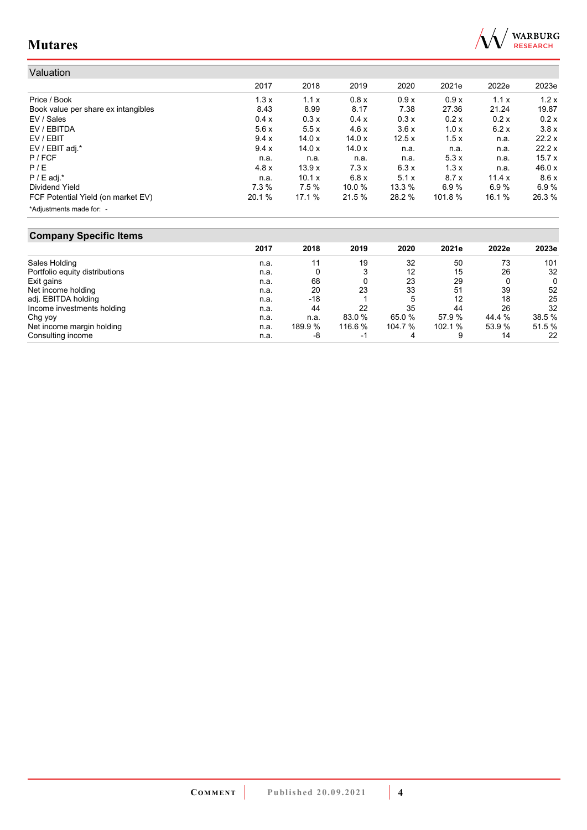

| Valuation                           |        |          |        |        |         |        |        |
|-------------------------------------|--------|----------|--------|--------|---------|--------|--------|
|                                     | 2017   | 2018     | 2019   | 2020   | 2021e   | 2022e  | 2023e  |
| Price / Book                        | 1.3x   | 1.1x     | 0.8x   | 0.9x   | 0.9x    | 1.1x   | 1.2x   |
| Book value per share ex intangibles | 8.43   | 8.99     | 8.17   | 7.38   | 27.36   | 21.24  | 19.87  |
| EV / Sales                          | 0.4 x  | 0.3x     | 0.4 x  | 0.3x   | 0.2 x   | 0.2x   | 0.2x   |
| EV / EBITDA                         | 5.6x   | 5.5x     | 4.6x   | 3.6x   | 1.0x    | 6.2x   | 3.8x   |
| EV / EBIT                           | 9.4x   | 14.0x    | 14.0x  | 12.5x  | 1.5x    | n.a.   | 22.2x  |
| EV / EBIT adj.*                     | 9.4 x  | 14.0x    | 14.0x  | n.a.   | n.a.    | n.a.   | 22.2x  |
| $P$ / FCF                           | n.a.   | n.a.     | n.a.   | n.a.   | 5.3x    | n.a.   | 15.7x  |
| P/E                                 | 4.8x   | 13.9x    | 7.3x   | 6.3x   | 1.3x    | n.a.   | 46.0x  |
| $P / E$ adj.*                       | n.a.   | 10.1 $x$ | 6.8x   | 5.1x   | 8.7x    | 11.4 x | 8.6x   |
| Dividend Yield                      | 7.3%   | 7.5%     | 10.0 % | 13.3 % | 6.9%    | 6.9%   | 6.9%   |
| FCF Potential Yield (on market EV)  | 20.1 % | 17.1 %   | 21.5 % | 28.2 % | 101.8 % | 16.1 % | 26.3 % |
| *Adjustments made for: -            |        |          |        |        |         |        |        |

## **Company Specific Items**

| .                              | 2017 | 2018    | 2019    | 2020    | 2021e   | 2022e  | 2023e  |
|--------------------------------|------|---------|---------|---------|---------|--------|--------|
|                                |      |         |         |         |         |        |        |
| Sales Holding                  | n.a. | 11      | 19      | 32      | 50      | 73     | 101    |
| Portfolio equity distributions | n.a. |         |         | 12      | 15      | 26     | 32     |
| Exit gains                     | n.a. | 68      |         | 23      | 29      |        | 0      |
| Net income holding             | n.a. | 20      | 23      | 33      | 51      | 39     | 52     |
| adj. EBITDA holding            | n.a. | $-18$   |         | 5       | 12      | 18     | 25     |
| Income investments holding     | n.a. | 44      | 22      | 35      | 44      | 26     | 32     |
| Chg yoy                        | n.a. | n.a.    | 83.0 %  | 65.0 %  | 57.9 %  | 44.4 % | 38.5 % |
| Net income margin holding      | n.a. | 189.9 % | 116.6 % | 104.7 % | 102.1 % | 53.9 % | 51.5 % |
| Consulting income              | n.a. | -8      | $-1$    | 4       | 9       | 14     | 22     |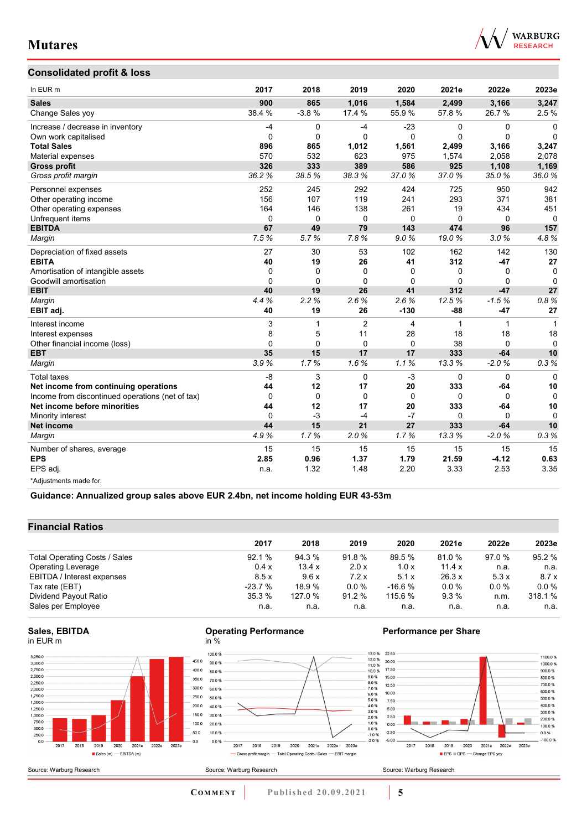

### **Consolidated profit & loss**

| In EUR m                                         | 2017     | 2018        | 2019           | 2020         | 2021e    | 2022e        | 2023e    |
|--------------------------------------------------|----------|-------------|----------------|--------------|----------|--------------|----------|
| <b>Sales</b>                                     | 900      | 865         | 1,016          | 1,584        | 2,499    | 3,166        | 3,247    |
| Change Sales yoy                                 | 38.4 %   | $-3.8%$     | 17.4 %         | 55.9%        | 57.8 %   | 26.7%        | 2.5%     |
| Increase / decrease in inventory                 | $-4$     | 0           | $-4$           | $-23$        | 0        | 0            | $\Omega$ |
| Own work capitalised                             | $\Omega$ | $\Omega$    | $\Omega$       | $\mathbf{0}$ | $\Omega$ | $\mathbf 0$  | $\Omega$ |
| <b>Total Sales</b>                               | 896      | 865         | 1.012          | 1,561        | 2.499    | 3,166        | 3,247    |
| Material expenses                                | 570      | 532         | 623            | 975          | 1,574    | 2,058        | 2,078    |
| <b>Gross profit</b>                              | 326      | 333         | 389            | 586          | 925      | 1,108        | 1,169    |
| Gross profit margin                              | 36.2%    | 38.5%       | 38.3%          | 37.0%        | 37.0%    | 35.0%        | 36.0%    |
| Personnel expenses                               | 252      | 245         | 292            | 424          | 725      | 950          | 942      |
| Other operating income                           | 156      | 107         | 119            | 241          | 293      | 371          | 381      |
| Other operating expenses                         | 164      | 146         | 138            | 261          | 19       | 434          | 451      |
| Unfrequent items                                 | 0        | $\mathbf 0$ | $\mathbf 0$    | $\mathbf 0$  | 0        | $\mathbf 0$  | $\Omega$ |
| <b>EBITDA</b>                                    | 67       | 49          | 79             | 143          | 474      | 96           | 157      |
| Margin                                           | 7.5%     | 5.7%        | 7.8%           | 9.0%         | 19.0%    | 3.0%         | 4.8%     |
| Depreciation of fixed assets                     | 27       | 30          | 53             | 102          | 162      | 142          | 130      |
| <b>EBITA</b>                                     | 40       | 19          | 26             | 41           | 312      | $-47$        | 27       |
| Amortisation of intangible assets                | 0        | $\Omega$    | 0              | 0            | 0        | 0            | 0        |
| Goodwill amortisation                            | $\Omega$ | $\Omega$    | $\Omega$       | $\mathbf{0}$ | $\Omega$ | $\Omega$     | $\Omega$ |
| <b>EBIT</b>                                      | 40       | 19          | 26             | 41           | 312      | $-47$        | 27       |
| Margin                                           | 4.4%     | 2.2%        | 2.6%           | 2.6%         | 12.5%    | $-1.5%$      | 0.8%     |
| EBIT adj.                                        | 40       | 19          | 26             | $-130$       | $-88$    | $-47$        | 27       |
| Interest income                                  | 3        | 1           | $\overline{2}$ | 4            | 1        | $\mathbf{1}$ | 1        |
| Interest expenses                                | 8        | 5           | 11             | 28           | 18       | 18           | 18       |
| Other financial income (loss)                    | 0        | $\Omega$    | $\Omega$       | $\Omega$     | 38       | $\Omega$     | $\Omega$ |
| <b>EBT</b>                                       | 35       | 15          | 17             | 17           | 333      | $-64$        | 10       |
| Margin                                           | 3.9%     | 1.7%        | 1.6%           | 1.1%         | 13.3%    | $-2.0%$      | 0.3%     |
| <b>Total taxes</b>                               | $-8$     | 3           | $\Omega$       | $-3$         | $\Omega$ | $\Omega$     | $\Omega$ |
| Net income from continuing operations            | 44       | 12          | 17             | 20           | 333      | $-64$        | 10       |
| Income from discontinued operations (net of tax) | 0        | $\Omega$    | $\mathbf 0$    | $\mathbf 0$  | 0        | $\Omega$     | $\Omega$ |
| Net income before minorities                     | 44       | 12          | 17             | 20           | 333      | $-64$        | 10       |
| Minority interest                                | $\Omega$ | $-3$        | $-4$           | $-7$         | 0        | $\Omega$     | $\Omega$ |
| <b>Net income</b>                                | 44       | 15          | 21             | 27           | 333      | $-64$        | 10       |
| Margin                                           | 4.9%     | 1.7%        | 2.0%           | 1.7%         | 13.3%    | $-2.0%$      | 0.3%     |
| Number of shares, average                        | 15       | 15          | 15             | 15           | 15       | 15           | 15       |
| <b>EPS</b>                                       | 2.85     | 0.96        | 1.37           | 1.79         | 21.59    | $-4.12$      | 0.63     |
| EPS adj.                                         | n.a.     | 1.32        | 1.48           | 2.20         | 3.33     | 2.53         | 3.35     |
| *Adjustments made for:                           |          |             |                |              |          |              |          |

**Guidance: Annualized group sales above EUR 2.4bn, net income holding EUR 43-53m**

### **Financial Ratios**

|                               | 2017     | 2018    | 2019    | 2020     | 2021e  | 2022e   | 2023e   |
|-------------------------------|----------|---------|---------|----------|--------|---------|---------|
|                               |          |         |         |          |        |         |         |
| Total Operating Costs / Sales | 92.1%    | 94.3 %  | 91.8%   | 89.5 %   | 81.0 % | 97.0 %  | 95.2 %  |
| <b>Operating Leverage</b>     | 0.4x     | 13.4 x  | 2.0 x   | 1.0x     | 11.4 x | n.a.    | n.a.    |
| EBITDA / Interest expenses    | 8.5x     | 9.6x    | 7.2x    | 5.1x     | 26.3 x | 5.3x    | 8.7x    |
| Tax rate (EBT)                | $-23.7%$ | 18.9%   | $0.0\%$ | $-16.6%$ | 0.0%   | $0.0\%$ | $0.0\%$ |
| Dividend Payout Ratio         | 35.3%    | 127.0 % | 91.2 %  | 115.6 %  | 9.3%   | n.m.    | 318.1 % |
| Sales per Employee            | n.a.     | n.a.    | n.a.    | n.a.     | n.a.   | n.a.    | n.a.    |

#### **Sales, EBITDA** in EUR m



#### **Operating Performance** in %



### **Performance per Share**

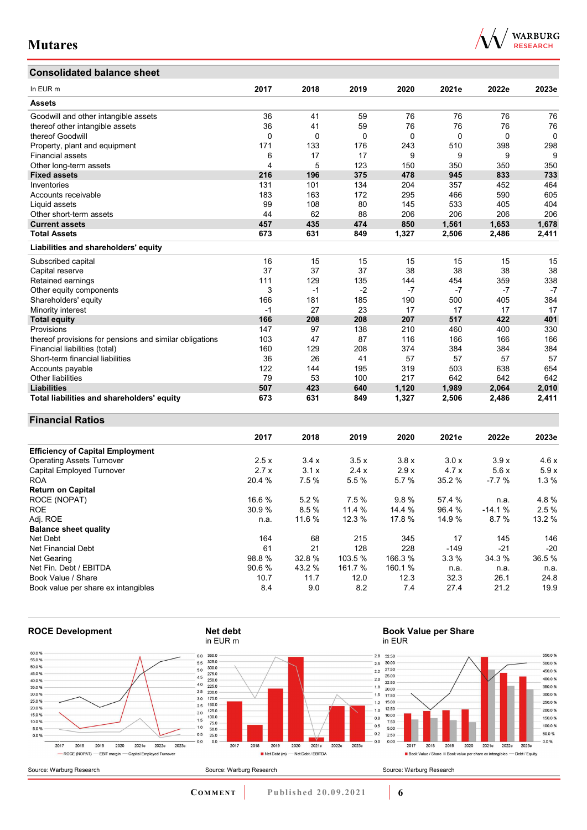## **Consolidated balance sheet**

| In EUR <sub>m</sub>                                     | 2017 | 2018     | 2019 | 2020  | 2021e | 2022e | 2023e    |
|---------------------------------------------------------|------|----------|------|-------|-------|-------|----------|
| <b>Assets</b>                                           |      |          |      |       |       |       |          |
| Goodwill and other intangible assets                    | 36   | 41       | 59   | 76    | 76    | 76    | 76       |
| thereof other intangible assets                         | 36   | 41       | 59   | 76    | 76    | 76    | 76       |
| thereof Goodwill                                        | 0    | $\Omega$ | 0    | 0     | 0     | 0     | $\Omega$ |
| Property, plant and equipment                           | 171  | 133      | 176  | 243   | 510   | 398   | 298      |
| <b>Financial assets</b>                                 | 6    | 17       | 17   | 9     | 9     | 9     | 9        |
| Other long-term assets                                  | 4    | 5        | 123  | 150   | 350   | 350   | 350      |
| <b>Fixed assets</b>                                     | 216  | 196      | 375  | 478   | 945   | 833   | 733      |
| Inventories                                             | 131  | 101      | 134  | 204   | 357   | 452   | 464      |
| Accounts receivable                                     | 183  | 163      | 172  | 295   | 466   | 590   | 605      |
| Liquid assets                                           | 99   | 108      | 80   | 145   | 533   | 405   | 404      |
| Other short-term assets                                 | 44   | 62       | 88   | 206   | 206   | 206   | 206      |
| <b>Current assets</b>                                   | 457  | 435      | 474  | 850   | 1,561 | 1,653 | 1,678    |
| <b>Total Assets</b>                                     | 673  | 631      | 849  | 1,327 | 2,506 | 2,486 | 2,411    |
| Liabilities and shareholders' equity                    |      |          |      |       |       |       |          |
| Subscribed capital                                      | 16   | 15       | 15   | 15    | 15    | 15    | 15       |
| Capital reserve                                         | 37   | 37       | 37   | 38    | 38    | 38    | 38       |
| Retained earnings                                       | 111  | 129      | 135  | 144   | 454   | 359   | 338      |
| Other equity components                                 | 3    | -1       | $-2$ | $-7$  | -7    | $-7$  | $-7$     |
| Shareholders' equity                                    | 166  | 181      | 185  | 190   | 500   | 405   | 384      |
| Minority interest                                       | $-1$ | 27       | 23   | 17    | 17    | 17    | 17       |
| <b>Total equity</b>                                     | 166  | 208      | 208  | 207   | 517   | 422   | 401      |
| Provisions                                              | 147  | 97       | 138  | 210   | 460   | 400   | 330      |
| thereof provisions for pensions and similar obligations | 103  | 47       | 87   | 116   | 166   | 166   | 166      |
| Financial liabilities (total)                           | 160  | 129      | 208  | 374   | 384   | 384   | 384      |
| Short-term financial liabilities                        | 36   | 26       | 41   | 57    | 57    | 57    | 57       |
| Accounts payable                                        | 122  | 144      | 195  | 319   | 503   | 638   | 654      |
| Other liabilities                                       | 79   | 53       | 100  | 217   | 642   | 642   | 642      |

### **Financial Ratios**

|                                         | 2017   | 2018   | 2019    | 2020    | 2021e  | 2022e    | 2023e  |
|-----------------------------------------|--------|--------|---------|---------|--------|----------|--------|
| <b>Efficiency of Capital Employment</b> |        |        |         |         |        |          |        |
| <b>Operating Assets Turnover</b>        | 2.5x   | 3.4x   | 3.5x    | 3.8x    | 3.0x   | 3.9x     | 4.6x   |
| Capital Employed Turnover               | 2.7x   | 3.1x   | 2.4x    | 2.9x    | 4.7x   | 5.6x     | 5.9x   |
| <b>ROA</b>                              | 20.4 % | 7.5 %  | 5.5 %   | 5.7 %   | 35.2 % | $-7.7%$  | 1.3%   |
| <b>Return on Capital</b>                |        |        |         |         |        |          |        |
| ROCE (NOPAT)                            | 16.6 % | 5.2%   | 7.5 %   | 9.8%    | 57.4 % | n.a.     | 4.8%   |
| <b>ROE</b>                              | 30.9 % | 8.5%   | 11.4 %  | 14.4 %  | 96.4 % | $-14.1%$ | 2.5%   |
| Adj. ROE                                | n.a.   | 11.6 % | 12.3 %  | 17.8 %  | 14.9 % | 8.7%     | 13.2 % |
| <b>Balance sheet quality</b>            |        |        |         |         |        |          |        |
| Net Debt                                | 164    | 68     | 215     | 345     | 17     | 145      | 146    |
| Net Financial Debt                      | 61     | 21     | 128     | 228     | $-149$ | $-21$    | $-20$  |
| Net Gearing                             | 98.8%  | 32.8 % | 103.5%  | 166.3 % | 3.3%   | 34.3 %   | 36.5%  |
| Net Fin. Debt / EBITDA                  | 90.6%  | 43.2 % | 161.7 % | 160.1 % | n.a.   | n.a.     | n.a.   |
| Book Value / Share                      | 10.7   | 11.7   | 12.0    | 12.3    | 32.3   | 26.1     | 24.8   |
| Book value per share ex intangibles     | 8.4    | 9.0    | 8.2     | 7.4     | 27.4   | 21.2     | 19.9   |

**Liabilities 507 423 640 1,120 1,989 2,064 2,010 Total liabilities and shareholders' equity 673 631 849 1,327 2,506 2,486 2,411**



**COMMENT** Published 20.09.2021 **6** 

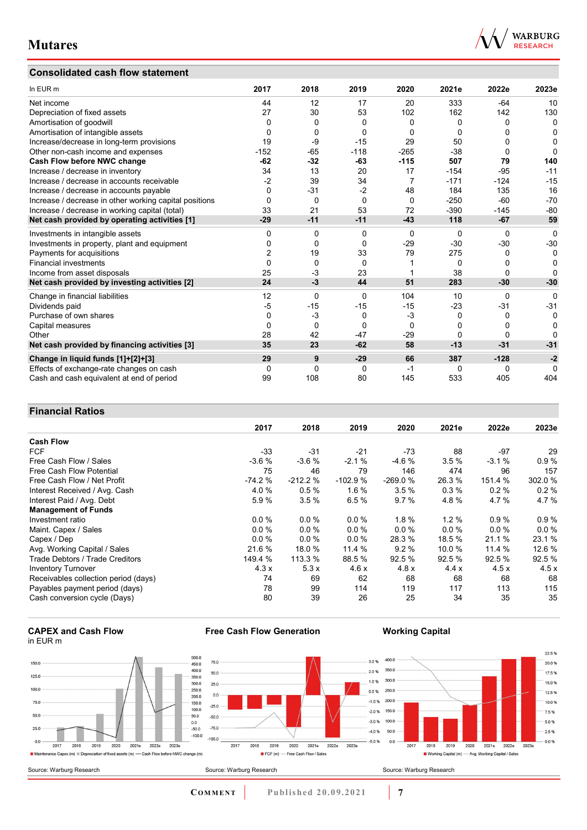### **Consolidated cash flow statement**



| In EUR m                                               | 2017           | 2018         | 2019        | 2020     | 2021e    | 2022e    | 2023e        |
|--------------------------------------------------------|----------------|--------------|-------------|----------|----------|----------|--------------|
| Net income                                             | 44             | 12           | 17          | 20       | 333      | $-64$    | 10           |
| Depreciation of fixed assets                           | 27             | 30           | 53          | 102      | 162      | 142      | 130          |
| Amortisation of goodwill                               | 0              | 0            | 0           | 0        | 0        | 0        | $\mathbf{0}$ |
| Amortisation of intangible assets                      | 0              | 0            | $\Omega$    | 0        | 0        | O        | 0            |
| Increase/decrease in long-term provisions              | 19             | -9           | $-15$       | 29       | 50       | 0        | $\Omega$     |
| Other non-cash income and expenses                     | $-152$         | $-65$        | $-118$      | $-265$   | $-38$    | 0        | $\Omega$     |
| Cash Flow before NWC change                            | $-62$          | $-32$        | -63         | $-115$   | 507      | 79       | 140          |
| Increase / decrease in inventory                       | 34             | 13           | 20          | 17       | $-154$   | $-95$    | $-11$        |
| Increase / decrease in accounts receivable             | $-2$           | 39           | 34          | 7        | $-171$   | $-124$   | $-15$        |
| Increase / decrease in accounts payable                | $\Omega$       | $-31$        | $-2$        | 48       | 184      | 135      | 16           |
| Increase / decrease in other working capital positions | $\Omega$       | 0            | $\Omega$    | $\Omega$ | $-250$   | $-60$    | $-70$        |
| Increase / decrease in working capital (total)         | 33             | 21           | 53          | 72       | $-390$   | $-145$   | $-80$        |
| Net cash provided by operating activities [1]          | $-29$          | $-11$        | $-11$       | $-43$    | 118      | $-67$    | 59           |
| Investments in intangible assets                       | 0              | 0            | $\Omega$    | $\Omega$ | 0        | $\Omega$ | $\Omega$     |
| Investments in property, plant and equipment           | 0              | 0            | $\Omega$    | $-29$    | $-30$    | $-30$    | $-30$        |
| Payments for acquisitions                              | $\overline{2}$ | 19           | 33          | 79       | 275      | 0        | 0            |
| <b>Financial investments</b>                           | $\Omega$       | $\Omega$     | $\Omega$    |          | $\Omega$ | 0        | 0            |
| Income from asset disposals                            | 25             | $-3$         | 23          |          | 38       | $\Omega$ | U            |
| Net cash provided by investing activities [2]          | 24             | -3           | 44          | 51       | 283      | $-30$    | $-30$        |
| Change in financial liabilities                        | 12             | $\Omega$     | $\Omega$    | 104      | 10       | 0        | 0            |
| Dividends paid                                         | -5             | $-15$        | $-15$       | $-15$    | $-23$    | $-31$    | $-31$        |
| Purchase of own shares                                 | 0              | $-3$         | 0           | $-3$     | $\Omega$ | 0        | 0            |
| Capital measures                                       | 0              | 0            | $\Omega$    | $\Omega$ | 0        | O        | 0            |
| Other                                                  | 28             | 42           | $-47$       | $-29$    | 0        | 0        | O            |
| Net cash provided by financing activities [3]          | 35             | 23           | $-62$       | 58       | $-13$    | $-31$    | $-31$        |
| Change in liquid funds [1]+[2]+[3]                     | 29             | 9            | $-29$       | 66       | 387      | $-128$   | $-2$         |
| Effects of exchange-rate changes on cash               | 0              | $\mathbf{0}$ | $\mathbf 0$ | $-1$     | 0        | 0        | $\Omega$     |
| Cash and cash equivalent at end of period              | 99             | 108          | 80          | 145      | 533      | 405      | 404          |

### **Financial Ratios**

|                                      | 2017     | 2018      | 2019      | 2020      | 2021e   | 2022e   | 2023e  |
|--------------------------------------|----------|-----------|-----------|-----------|---------|---------|--------|
| <b>Cash Flow</b>                     |          |           |           |           |         |         |        |
| <b>FCF</b>                           | $-33$    | $-31$     | $-21$     | -73       | 88      | -97     | 29     |
| Free Cash Flow / Sales               | $-3.6%$  | $-3.6%$   | $-2.1%$   | $-4.6%$   | 3.5%    | $-3.1%$ | 0.9%   |
| Free Cash Flow Potential             | 75       | 46        | 79        | 146       | 474     | 96      | 157    |
| Free Cash Flow / Net Profit          | $-74.2%$ | $-212.2%$ | $-102.9%$ | $-269.0%$ | 26.3 %  | 151.4 % | 302.0% |
| Interest Received / Avg. Cash        | 4.0%     | 0.5%      | 1.6 %     | 3.5%      | 0.3%    | 0.2%    | 0.2%   |
| Interest Paid / Avg. Debt            | 5.9%     | 3.5%      | 6.5%      | 9.7%      | 4.8%    | 4.7%    | 4.7%   |
| <b>Management of Funds</b>           |          |           |           |           |         |         |        |
| Investment ratio                     | 0.0%     | 0.0%      | $0.0 \%$  | 1.8%      | $1.2\%$ | 0.9%    | 0.9%   |
| Maint. Capex / Sales                 | 0.0%     | 0.0%      | $0.0 \%$  | 0.0%      | 0.0%    | $0.0\%$ | 0.0%   |
| Capex / Dep                          | 0.0 %    | 0.0%      | 0.0%      | 28.3 %    | 18.5 %  | 21.1 %  | 23.1 % |
| Avg. Working Capital / Sales         | 21.6 %   | 18.0 %    | 11.4 %    | 9.2%      | 10.0 %  | 11.4 %  | 12.6%  |
| Trade Debtors / Trade Creditors      | 149.4 %  | 113.3 %   | 88.5 %    | 92.5%     | 92.5%   | 92.5 %  | 92.5%  |
| <b>Inventory Turnover</b>            | 4.3x     | 5.3x      | 4.6x      | 4.8x      | 4.4x    | 4.5x    | 4.5x   |
| Receivables collection period (days) | 74       | 69        | 62        | 68        | 68      | 68      | 68     |
| Payables payment period (days)       | 78       | 99        | 114       | 119       | 117     | 113     | 115    |
| Cash conversion cycle (Days)         | 80       | 39        | 26        | 25        | 34      | 35      | 35     |





**Free Cash Flow Generation**

**Working Capital**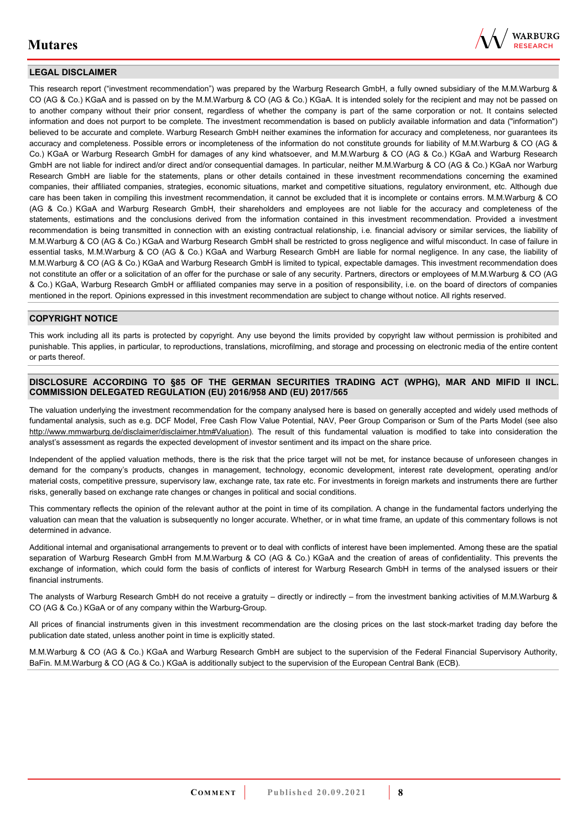

### **LEGAL DISCLAIMER**

This research report ("investment recommendation") was prepared by the Warburg Research GmbH, a fully owned subsidiary of the M.M.Warburg & CO (AG & Co.) KGaA and is passed on by the M.M.Warburg & CO (AG & Co.) KGaA. It is intended solely for the recipient and may not be passed on to another company without their prior consent, regardless of whether the company is part of the same corporation or not. It contains selected information and does not purport to be complete. The investment recommendation is based on publicly available information and data ("information") believed to be accurate and complete. Warburg Research GmbH neither examines the information for accuracy and completeness, nor guarantees its accuracy and completeness. Possible errors or incompleteness of the information do not constitute grounds for liability of M.M.Warburg & CO (AG & Co.) KGaA or Warburg Research GmbH for damages of any kind whatsoever, and M.M.Warburg & CO (AG & Co.) KGaA and Warburg Research GmbH are not liable for indirect and/or direct and/or consequential damages. In particular, neither M.M.Warburg & CO (AG & Co.) KGaA nor Warburg Research GmbH are liable for the statements, plans or other details contained in these investment recommendations concerning the examined companies, their affiliated companies, strategies, economic situations, market and competitive situations, regulatory environment, etc. Although due care has been taken in compiling this investment recommendation, it cannot be excluded that it is incomplete or contains errors. M.M.Warburg & CO (AG & Co.) KGaA and Warburg Research GmbH, their shareholders and employees are not liable for the accuracy and completeness of the statements, estimations and the conclusions derived from the information contained in this investment recommendation. Provided a investment recommendation is being transmitted in connection with an existing contractual relationship, i.e. financial advisory or similar services, the liability of M.M.Warburg & CO (AG & Co.) KGaA and Warburg Research GmbH shall be restricted to gross negligence and wilful misconduct. In case of failure in essential tasks, M.M.Warburg & CO (AG & Co.) KGaA and Warburg Research GmbH are liable for normal negligence. In any case, the liability of M.M.Warburg & CO (AG & Co.) KGaA and Warburg Research GmbH is limited to typical, expectable damages. This investment recommendation does not constitute an offer or a solicitation of an offer for the purchase or sale of any security. Partners, directors or employees of M.M.Warburg & CO (AG & Co.) KGaA, Warburg Research GmbH or affiliated companies may serve in a position of responsibility, i.e. on the board of directors of companies mentioned in the report. Opinions expressed in this investment recommendation are subject to change without notice. All rights reserved.

### **COPYRIGHT NOTICE**

This work including all its parts is protected by copyright. Any use beyond the limits provided by copyright law without permission is prohibited and punishable. This applies, in particular, to reproductions, translations, microfilming, and storage and processing on electronic media of the entire content or parts thereof.

#### **DISCLOSURE ACCORDING TO §85 OF THE GERMAN SECURITIES TRADING ACT (WPHG), MAR AND MIFID II INCL. COMMISSION DELEGATED REGULATION (EU) 2016/958 AND (EU) 2017/565**

The valuation underlying the investment recommendation for the company analysed here is based on generally accepted and widely used methods of fundamental analysis, such as e.g. DCF Model, Free Cash Flow Value Potential, NAV, Peer Group Comparison or Sum of the Parts Model (see also [http://www.mmwarburg.de/disclaimer/disclaimer.htm#Valuation\)](http://www.mmwarburg.de/disclaimer/disclaimer.htm#Valuation). The result of this fundamental valuation is modified to take into consideration the analyst's assessment as regards the expected development of investor sentiment and its impact on the share price.

Independent of the applied valuation methods, there is the risk that the price target will not be met, for instance because of unforeseen changes in demand for the company's products, changes in management, technology, economic development, interest rate development, operating and/or material costs, competitive pressure, supervisory law, exchange rate, tax rate etc. For investments in foreign markets and instruments there are further risks, generally based on exchange rate changes or changes in political and social conditions.

This commentary reflects the opinion of the relevant author at the point in time of its compilation. A change in the fundamental factors underlying the valuation can mean that the valuation is subsequently no longer accurate. Whether, or in what time frame, an update of this commentary follows is not determined in advance.

Additional internal and organisational arrangements to prevent or to deal with conflicts of interest have been implemented. Among these are the spatial separation of Warburg Research GmbH from M.M.Warburg & CO (AG & Co.) KGaA and the creation of areas of confidentiality. This prevents the exchange of information, which could form the basis of conflicts of interest for Warburg Research GmbH in terms of the analysed issuers or their financial instruments.

The analysts of Warburg Research GmbH do not receive a gratuity – directly or indirectly – from the investment banking activities of M.M.Warburg & CO (AG & Co.) KGaA or of any company within the Warburg-Group.

All prices of financial instruments given in this investment recommendation are the closing prices on the last stock-market trading day before the publication date stated, unless another point in time is explicitly stated.

M.M.Warburg & CO (AG & Co.) KGaA and Warburg Research GmbH are subject to the supervision of the Federal Financial Supervisory Authority, BaFin. M.M.Warburg & CO (AG & Co.) KGaA is additionally subject to the supervision of the European Central Bank (ECB).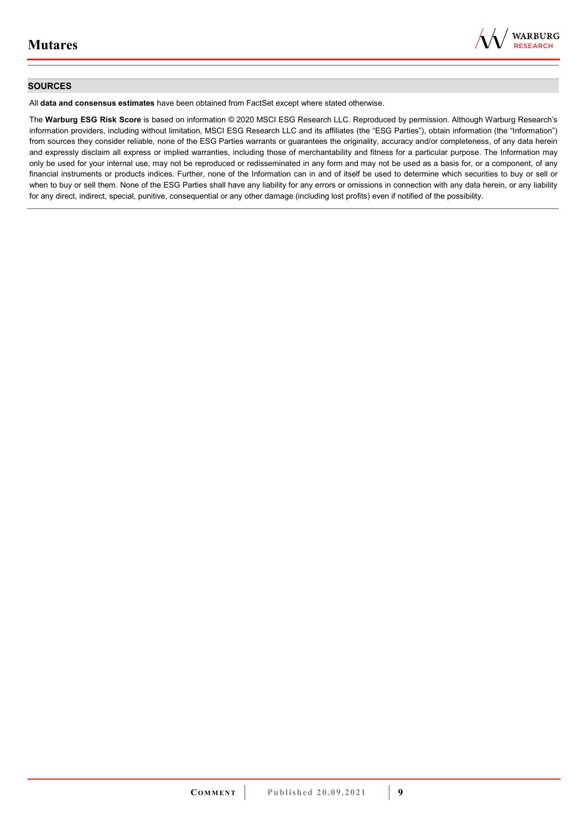

### **SOURCES**

All **data and consensus estimates** have been obtained from FactSet except where stated otherwise.

The **Warburg ESG Risk Score** is based on information © 2020 MSCI ESG Research LLC. Reproduced by permission. Although Warburg Research's information providers, including without limitation, MSCI ESG Research LLC and its affiliates (the "ESG Parties"), obtain information (the "Information") from sources they consider reliable, none of the ESG Parties warrants or guarantees the originality, accuracy and/or completeness, of any data herein and expressly disclaim all express or implied warranties, including those of merchantability and fitness for a particular purpose. The Information may only be used for your internal use, may not be reproduced or redisseminated in any form and may not be used as a basis for, or a component, of any financial instruments or products indices. Further, none of the Information can in and of itself be used to determine which securities to buy or sell or when to buy or sell them. None of the ESG Parties shall have any liability for any errors or omissions in connection with any data herein, or any liability for any direct, indirect, special, punitive, consequential or any other damage (including lost profits) even if notified of the possibility.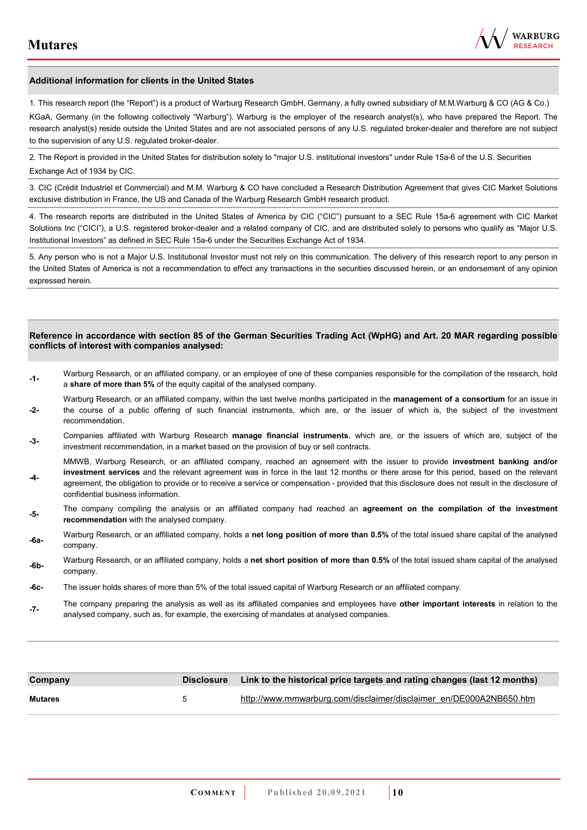

#### **Additional information for clients in the United States**

1. This research report (the "Report") is a product of Warburg Research GmbH, Germany, a fully owned subsidiary of M.M.Warburg & CO (AG & Co.)

KGaA, Germany (in the following collectively "Warburg"). Warburg is the employer of the research analyst(s), who have prepared the Report. The research analyst(s) reside outside the United States and are not associated persons of any U.S. regulated broker-dealer and therefore are not subject to the supervision of any U.S. regulated broker-dealer.

2. The Report is provided in the United States for distribution solely to "major U.S. institutional investors" under Rule 15a-6 of the U.S. Securities Exchange Act of 1934 by CIC.

3. CIC (Crédit Industriel et Commercial) and M.M. Warburg & CO have concluded a Research Distribution Agreement that gives CIC Market Solutions exclusive distribution in France, the US and Canada of the Warburg Research GmbH research product.

4. The research reports are distributed in the United States of America by CIC ("CIC") pursuant to a SEC Rule 15a-6 agreement with CIC Market Solutions Inc ("CICI"), a U.S. registered broker-dealer and a related company of CIC, and are distributed solely to persons who qualify as "Major U.S. Institutional Investors" as defined in SEC Rule 15a-6 under the Securities Exchange Act of 1934.

5. Any person who is not a Major U.S. Institutional Investor must not rely on this communication. The delivery of this research report to any person in the United States of America is not a recommendation to effect any transactions in the securities discussed herein, or an endorsement of any opinion expressed herein.

#### **Reference in accordance with section 85 of the German Securities Trading Act (WpHG) and Art. 20 MAR regarding possible conflicts of interest with companies analysed:**

- **-1-** Warburg Research, or an affiliated company, or an employee of one of these companies responsible for the compilation of the research, hold a **share of more than 5%** of the equity capital of the analysed company.
- **-2-**  Warburg Research, or an affiliated company, within the last twelve months participated in the **management of a consortium** for an issue in the course of a public offering of such financial instruments, which are, or the issuer of which is, the subject of the investment recommendation.
- **-3-** Companies affiliated with Warburg Research **manage financial instruments**, which are, or the issuers of which are, subject of the investment recommendation, in a market based on the provision of buy or sell contracts.

MMWB, Warburg Research, or an affiliated company, reached an agreement with the issuer to provide **investment banking and/or investment services** and the relevant agreement was in force in the last 12 months or there arose for this period, based on the relevant

- **-4**  agreement, the obligation to provide or to receive a service or compensation - provided that this disclosure does not result in the disclosure of confidential business information.
- **-5-** The company compiling the analysis or an affiliated company had reached an **agreement on the compilation of the investment recommendation** with the analysed company.
- **-6a-** Warburg Research, or an affiliated company, holds a **net long position of more than 0.5%** of the total issued share capital of the analysed company.
- **-6b-** Warburg Research, or an affiliated company, holds a **net short position of more than 0.5%** of the total issued share capital of the analysed company.
- **-6c-** The issuer holds shares of more than 5% of the total issued capital of Warburg Research or an affiliated company.
- **-7-** The company preparing the analysis as well as its affiliated companies and employees have **other important interests** in relation to the analysed company, such as, for example, the exercising of mandates at analysed companies.

| Company        |   | Disclosure Link to the historical price targets and rating changes (last 12 months) |
|----------------|---|-------------------------------------------------------------------------------------|
| <b>Mutares</b> | 5 | http://www.mmwarburg.com/disclaimer/disclaimer_en/DE000A2NB650.htm                  |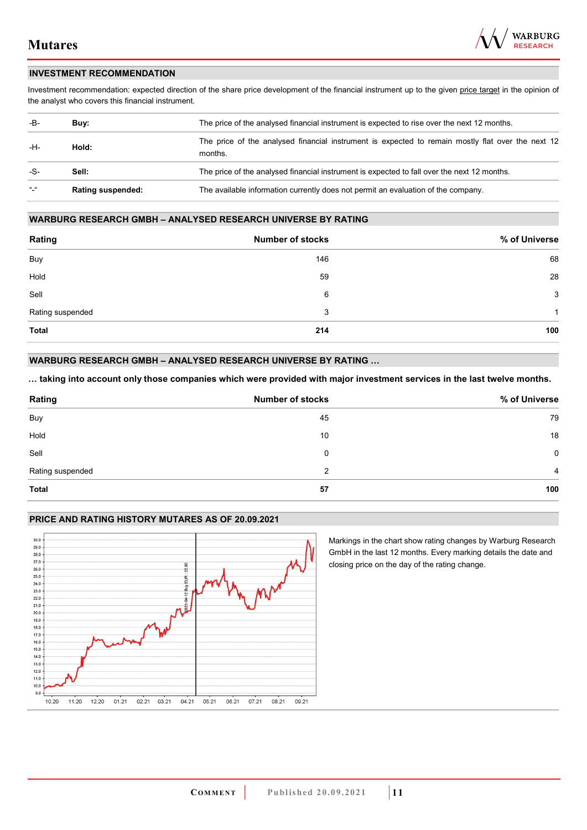

### **INVESTMENT RECOMMENDATION**

Investment recommendation: expected direction of the share price development of the financial instrument up to the given price target in the opinion of the analyst who covers this financial instrument.

| -B-             | Buy:                     | The price of the analysed financial instrument is expected to rise over the next 12 months.                  |  |  |
|-----------------|--------------------------|--------------------------------------------------------------------------------------------------------------|--|--|
| -H-             | Hold:                    | The price of the analysed financial instrument is expected to remain mostly flat over the next 12<br>months. |  |  |
| -S-             | Sell:                    | The price of the analysed financial instrument is expected to fall over the next 12 months.                  |  |  |
| $\frac{16}{16}$ | <b>Rating suspended:</b> | The available information currently does not permit an evaluation of the company.                            |  |  |

#### **WARBURG RESEARCH GMBH – ANALYSED RESEARCH UNIVERSE BY RATING**

| Rating           | <b>Number of stocks</b> | % of Universe |
|------------------|-------------------------|---------------|
| Buy              | 146                     | 68            |
| Hold             | 59                      | 28            |
| Sell             | 6                       | 3             |
| Rating suspended | 3                       | 1             |
| <b>Total</b>     | 214                     | 100           |

### **WARBURG RESEARCH GMBH – ANALYSED RESEARCH UNIVERSE BY RATING …**

**… taking into account only those companies which were provided with major investment services in the last twelve months.** 

| Rating           | <b>Number of stocks</b> | % of Universe  |
|------------------|-------------------------|----------------|
| Buy              | 45                      | 79             |
| Hold             | 10                      | 18             |
| Sell             | 0                       | $\mathbf 0$    |
| Rating suspended | 2                       | $\overline{4}$ |
| <b>Total</b>     | 57                      | 100            |

### **PRICE AND RATING HISTORY MUTARES AS OF 20.09.2021**



Markings in the chart show rating changes by Warburg Research GmbH in the last 12 months. Every marking details the date and closing price on the day of the rating change.